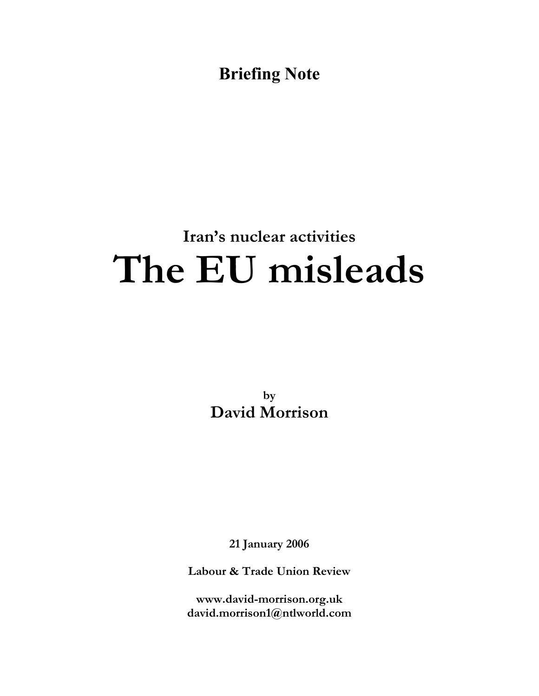**Briefing Note**

# **Iran's nuclear activities The EU misleads**

**by David Morrison**

**21 January 2006**

**Labour & Trade Union Review**

**www.david-morrison.org.uk david.morrison1@ntlworld.com**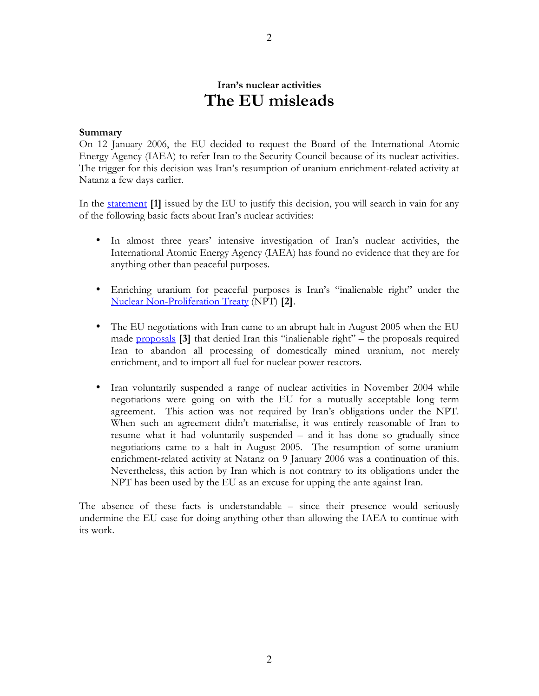# **Iran's nuclear activities The EU misleads**

# **Summary**

On 12 January 2006, the EU decided to request the Board of the International Atomic Energy Agency (IAEA) to refer Iran to the Security Council because of its nuclear activities. The trigger for this decision was Iran's resumption of uranium enrichment-related activity at Natanz a few days earlier.

In the [statement](http://www.fco.gov.uk/servlet/Front?pagename=OpenMarket/Xcelerate/ShowPage&c=Page&cid=1007029391629&a=KArticle&aid=1136903810989) **[1]** issued by the EU to justify this decision, you will search in vain for any of the following basic facts about Iran's nuclear activities:

- In almost three years' intensive investigation of Iran's nuclear activities, the International Atomic Energy Agency (IAEA) has found no evidence that they are for anything other than peaceful purposes.
- Enriching uranium for peaceful purposes is Iran's "inalienable right" under the [Nuclear Non-Proliferation Treaty](http://www.iaea.org/Publications/Documents/Infcircs/Others/infcirc140.pdf) (NPT) **[2]**.
- The EU negotiations with Iran came to an abrupt halt in August 2005 when the EU made **[proposals](http://www.iaea.org/Publications/Documents/Infcircs/2005/infcirc651.pdf)** [3] that denied Iran this "inalienable right" – the proposals required Iran to abandon all processing of domestically mined uranium, not merely enrichment, and to import all fuel for nuclear power reactors.
- Iran voluntarily suspended a range of nuclear activities in November 2004 while negotiations were going on with the EU for a mutually acceptable long term agreement. This action was not required by Iran's obligations under the NPT. When such an agreement didn't materialise, it was entirely reasonable of Iran to resume what it had voluntarily suspended – and it has done so gradually since negotiations came to a halt in August 2005. The resumption of some uranium enrichment-related activity at Natanz on 9 January 2006 was a continuation of this. Nevertheless, this action by Iran which is not contrary to its obligations under the NPT has been used by the EU as an excuse for upping the ante against Iran.

The absence of these facts is understandable – since their presence would seriously undermine the EU case for doing anything other than allowing the IAEA to continue with its work.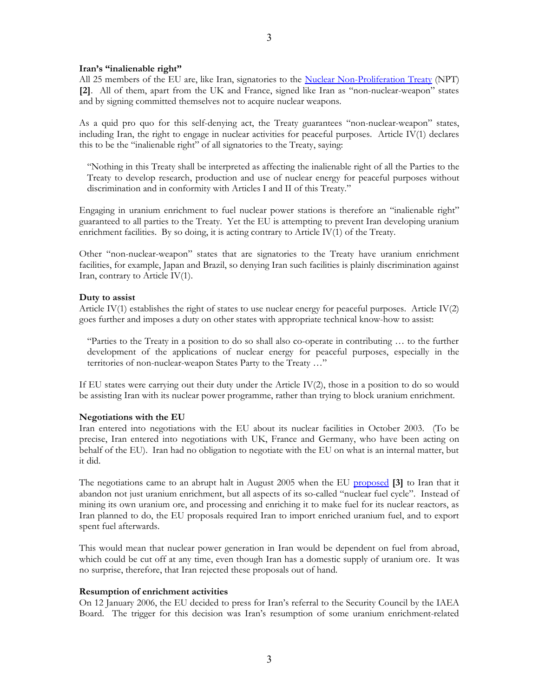All 25 members of the EU are, like Iran, signatories to the Nuclear [Non-Proliferation](http://www.iaea.org/Publications/Documents/Infcircs/Others/infcirc140.pdf) Treaty (NPT) **[2]**. All of them, apart from the UK and France, signed like Iran as "non-nuclear-weapon" states and by signing committed themselves not to acquire nuclear weapons.

As a quid pro quo for this self-denying act, the Treaty guarantees "non-nuclear-weapon" states, including Iran, the right to engage in nuclear activities for peaceful purposes. Article IV(1) declares this to be the "inalienable right" of all signatories to the Treaty, saying:

"Nothing in this Treaty shall be interpreted as affecting the inalienable right of all the Parties to the Treaty to develop research, production and use of nuclear energy for peaceful purposes without discrimination and in conformity with Articles I and II of this Treaty."

Engaging in uranium enrichment to fuel nuclear power stations is therefore an "inalienable right" guaranteed to all parties to the Treaty. Yet the EU is attempting to prevent Iran developing uranium enrichment facilities. By so doing, it is acting contrary to Article IV(1) of the Treaty.

Other "non-nuclear-weapon" states that are signatories to the Treaty have uranium enrichment facilities, for example, Japan and Brazil, so denying Iran such facilities is plainly discrimination against Iran, contrary to Article IV(1).

# **Duty to assist**

Article IV(1) establishes the right of states to use nuclear energy for peaceful purposes. Article IV(2) goes further and imposes a duty on other states with appropriate technical know-how to assist:

"Parties to the Treaty in a position to do so shall also co-operate in contributing … to the further development of the applications of nuclear energy for peaceful purposes, especially in the territories of non-nuclear-weapon States Party to the Treaty …"

If EU states were carrying out their duty under the Article IV(2), those in a position to do so would be assisting Iran with its nuclear power programme, rather than trying to block uranium enrichment.

# **Negotiations with the EU**

Iran entered into negotiations with the EU about its nuclear facilities in October 2003. (To be precise, Iran entered into negotiations with UK, France and Germany, who have been acting on behalf of the EU). Iran had no obligation to negotiate with the EU on what is an internal matter, but it did.

The negotiations came to an abrupt halt in August 2005 when the EU [proposed](http://www.iaea.org/Publications/Documents/Infcircs/2005/infcirc651.pdf) **[3]** to Iran that it abandon not just uranium enrichment, but all aspects of its so-called "nuclear fuel cycle". Instead of mining its own uranium ore, and processing and enriching it to make fuel for its nuclear reactors, as Iran planned to do, the EU proposals required Iran to import enriched uranium fuel, and to export spent fuel afterwards.

This would mean that nuclear power generation in Iran would be dependent on fuel from abroad, which could be cut off at any time, even though Iran has a domestic supply of uranium ore. It was no surprise, therefore, that Iran rejected these proposals out of hand.

# **Resumption of enrichment activities**

On 12 January 2006, the EU decided to press for Iran's referral to the Security Council by the IAEA Board. The trigger for this decision was Iran's resumption of some uranium enrichment-related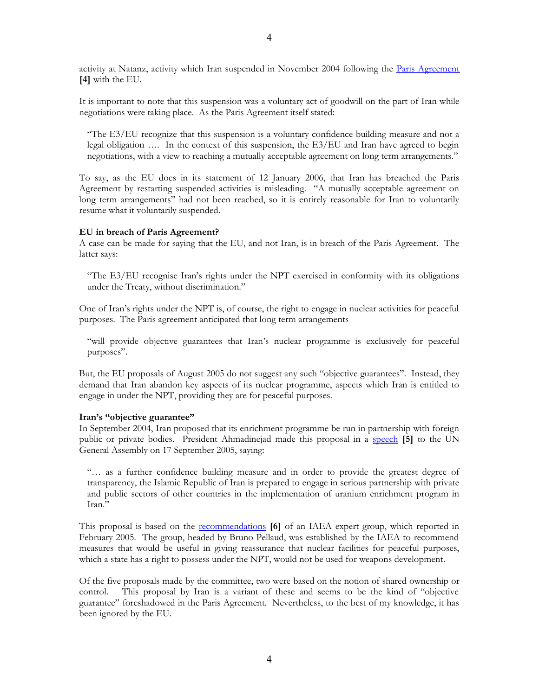activity at Natanz, activity which Iran suspended in November 2004 following the Paris [Agreement](http://www.iaea.org/Publications/Documents/Infcircs/2004/infcirc637.pdf) **[4]** with the EU.

It is important to note that this suspension was a voluntary act of goodwill on the part of Iran while negotiations were taking place. As the Paris Agreement itself stated:

"The E3/EU recognize that this suspension is a voluntary confidence building measure and not a legal obligation …. In the context of this suspension, the E3/EU and Iran have agreed to begin negotiations, with a view to reaching a mutually acceptable agreement on long term arrangements."

To say, as the EU does in its statement of 12 January 2006, that Iran has breached the Paris Agreement by restarting suspended activities is misleading. "A mutually acceptable agreement on long term arrangements" had not been reached, so it is entirely reasonable for Iran to voluntarily resume what it voluntarily suspended.

# **EU in breach of Paris Agreement?**

A case can be made for saying that the EU, and not Iran, is in breach of the Paris Agreement. The latter says:

"The E3/EU recognise Iran's rights under the NPT exercised in conformity with its obligations under the Treaty, without discrimination."

One of Iran's rights under the NPT is, of course, the right to engage in nuclear activities for peaceful purposes. The Paris agreement anticipated that long term arrangements

"will provide objective guarantees that Iran's nuclear programme is exclusively for peaceful purposes".

But, the EU proposals of August 2005 do not suggest any such "objective guarantees". Instead, they demand that Iran abandon key aspects of its nuclear programme, aspects which Iran is entitled to engage in under the NPT, providing they are for peaceful purposes.

#### **Iran's "objective guarantee"**

In September 2004, Iran proposed that its enrichment programme be run in partnership with foreign public or private bodies. President Ahmadinejad made this proposal in a [speech](http://www.irna.ir/en/news/view/menu-234/0509188968001718.htm) **[5]** to the UN General Assembly on 17 September 2005, saying:

"… as a further confidence building measure and in order to provide the greatest degree of transparency, the Islamic Republic of Iran is prepared to engage in serious partnership with private and public sectors of other countries in the implementation of uranium enrichment program in Iran."

This proposal is based on the [recommendations](http://www.iaea.org/NewsCenter/News/2005/fuelcycle.html) **[6]** of an IAEA expert group, which reported in February 2005. The group, headed by Bruno Pellaud, was established by the IAEA to recommend measures that would be useful in giving reassurance that nuclear facilities for peaceful purposes, which a state has a right to possess under the NPT, would not be used for weapons development.

Of the five proposals made by the committee, two were based on the notion of shared ownership or control. This proposal by Iran is a variant of these and seems to be the kind of "objective guarantee" foreshadowed in the Paris Agreement. Nevertheless, to the best of my knowledge, it has been ignored by the EU.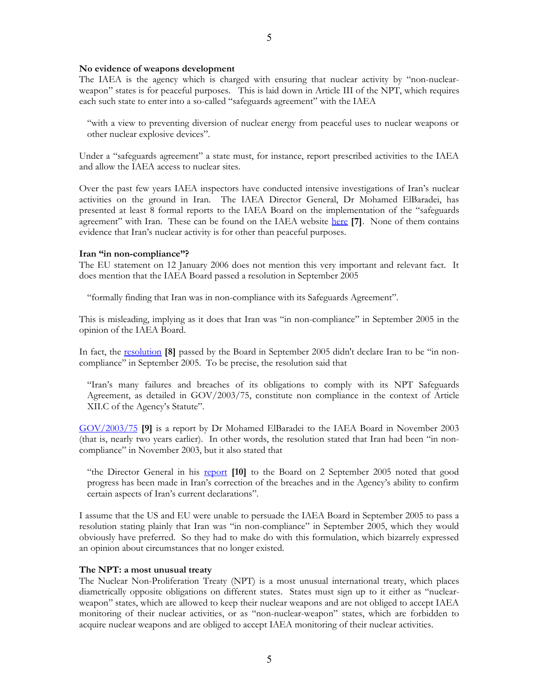#### **No evidence of weapons development**

The IAEA is the agency which is charged with ensuring that nuclear activity by "non-nuclearweapon" states is for peaceful purposes. This is laid down in Article III of the NPT, which requires each such state to enter into a so-called "safeguards agreement" with the IAEA

"with a view to preventing diversion of nuclear energy from peaceful uses to nuclear weapons or other nuclear explosive devices".

Under a "safeguards agreement" a state must, for instance, report prescribed activities to the IAEA and allow the IAEA access to nuclear sites.

Over the past few years IAEA inspectors have conducted intensive investigations of Iran's nuclear activities on the ground in Iran. The IAEA Director General, Dr Mohamed ElBaradei, has presented at least 8 formal reports to the IAEA Board on the implementation of the "safeguards agreement" with Iran. These can be found on the IAEA website [here](http://www.iaea.org/NewsCenter/Focus/IaeaIran/index.shtml) [7]. None of them contains evidence that Iran's nuclear activity is for other than peaceful purposes.

#### **Iran "in non-compliance"?**

The EU statement on 12 January 2006 does not mention this very important and relevant fact. It does mention that the IAEA Board passed a resolution in September 2005

"formally finding that Iran was in non-compliance with its Safeguards Agreement".

This is misleading, implying as it does that Iran was "in non-compliance" in September 2005 in the opinion of the IAEA Board.

In fact, the [resolution](http://www.iaea.org/Publications/Documents/Board/2005/gov2005-77.pdf) **[8]** passed by the Board in September 2005 didn't declare Iran to be "in noncompliance" in September 2005. To be precise, the resolution said that

"Iran's many failures and breaches of its obligations to comply with its NPT Safeguards Agreement, as detailed in GOV/2003/75, constitute non compliance in the context of Article XII.C of the Agency's Statute".

[GOV/2003/75](http://www.iaea.org/Publications/Documents/Board/2003/gov2003-75.pdf) **[9]** is a report by Dr Mohamed ElBaradei to the IAEA Board in November 2003 (that is, nearly two years earlier). In other words, the resolution stated that Iran had been "in noncompliance" in November 2003, but it also stated that

"the Director General in his [report](http://www.iaea.org/Publications/Documents/Board/2005/gov2005-67.pdf) **[10]** to the Board on 2 September 2005 noted that good progress has been made in Iran's correction of the breaches and in the Agency's ability to confirm certain aspects of Iran's current declarations".

I assume that the US and EU were unable to persuade the IAEA Board in September 2005 to pass a resolution stating plainly that Iran was "in non-compliance" in September 2005, which they would obviously have preferred. So they had to make do with this formulation, which bizarrely expressed an opinion about circumstances that no longer existed.

#### **The NPT: a most unusual treaty**

The Nuclear Non-Proliferation Treaty (NPT) is a most unusual international treaty, which places diametrically opposite obligations on different states. States must sign up to it either as "nuclearweapon" states, which are allowed to keep their nuclear weapons and are not obliged to accept IAEA monitoring of their nuclear activities, or as "non-nuclear-weapon" states, which are forbidden to acquire nuclear weapons and are obliged to accept IAEA monitoring of their nuclear activities.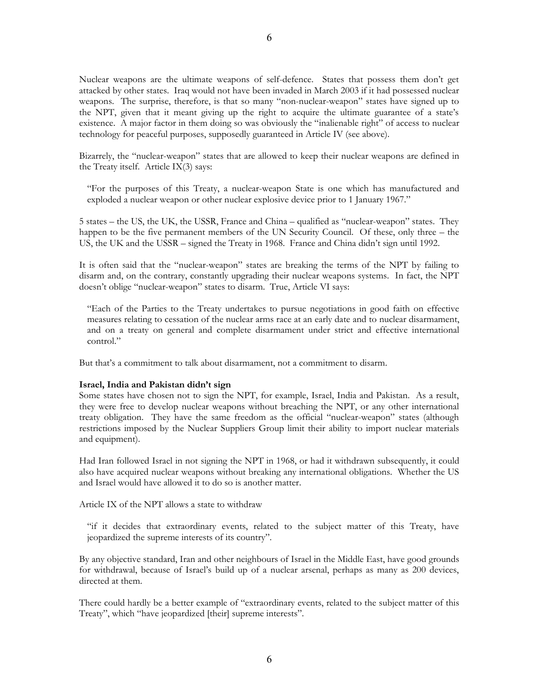Nuclear weapons are the ultimate weapons of self-defence. States that possess them don't get attacked by other states. Iraq would not have been invaded in March 2003 if it had possessed nuclear weapons. The surprise, therefore, is that so many "non-nuclear-weapon" states have signed up to the NPT, given that it meant giving up the right to acquire the ultimate guarantee of a state's existence. A major factor in them doing so was obviously the "inalienable right" of access to nuclear technology for peaceful purposes, supposedly guaranteed in Article IV (see above).

Bizarrely, the "nuclear-weapon" states that are allowed to keep their nuclear weapons are defined in the Treaty itself. Article IX(3) says:

"For the purposes of this Treaty, a nuclear-weapon State is one which has manufactured and exploded a nuclear weapon or other nuclear explosive device prior to 1 January 1967."

5 states – the US, the UK, the USSR, France and China – qualified as "nuclear-weapon" states. They happen to be the five permanent members of the UN Security Council. Of these, only three – the US, the UK and the USSR – signed the Treaty in 1968. France and China didn't sign until 1992.

It is often said that the "nuclear-weapon" states are breaking the terms of the NPT by failing to disarm and, on the contrary, constantly upgrading their nuclear weapons systems. In fact, the NPT doesn't oblige "nuclear-weapon" states to disarm. True, Article VI says:

"Each of the Parties to the Treaty undertakes to pursue negotiations in good faith on effective measures relating to cessation of the nuclear arms race at an early date and to nuclear disarmament, and on a treaty on general and complete disarmament under strict and effective international control."

But that's a commitment to talk about disarmament, not a commitment to disarm.

# **Israel, India and Pakistan didn't sign**

Some states have chosen not to sign the NPT, for example, Israel, India and Pakistan. As a result, they were free to develop nuclear weapons without breaching the NPT, or any other international treaty obligation. They have the same freedom as the official "nuclear-weapon" states (although restrictions imposed by the Nuclear Suppliers Group limit their ability to import nuclear materials and equipment).

Had Iran followed Israel in not signing the NPT in 1968, or had it withdrawn subsequently, it could also have acquired nuclear weapons without breaking any international obligations. Whether the US and Israel would have allowed it to do so is another matter.

Article IX of the NPT allows a state to withdraw

"if it decides that extraordinary events, related to the subject matter of this Treaty, have jeopardized the supreme interests of its country".

By any objective standard, Iran and other neighbours of Israel in the Middle East, have good grounds for withdrawal, because of Israel's build up of a nuclear arsenal, perhaps as many as 200 devices, directed at them.

There could hardly be a better example of "extraordinary events, related to the subject matter of this Treaty", which "have jeopardized [their] supreme interests".